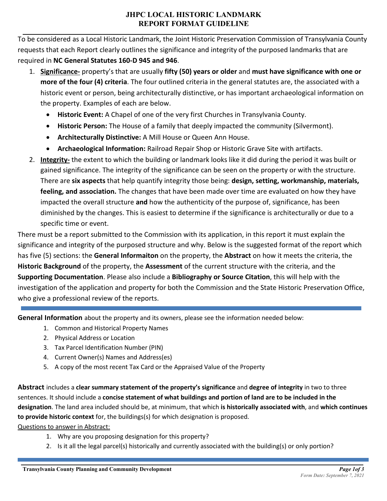## **JHPC LOCAL HISTORIC LANDMARK REPORT FORMAT GUIDELINE**

To be considered as a Local Historic Landmark, the Joint Historic Preservation Commission of Transylvania County requests that each Report clearly outlines the significance and integrity of the purposed landmarks that are required in **NC General Statutes 160-D 945 and 946**.

- 1. **Significance-** property's that are usually **fifty (50) years or older** and **must have significance with one or more of the four (4) criteria**. The four outlined criteria in the general statutes are, the associated with a historic event or person, being architecturally distinctive, or has important archaeological information on the property. Examples of each are below.
	- **Historic Event:** A Chapel of one of the very first Churches in Transylvania County.
	- **Historic Person:** The House of a family that deeply impacted the community (Silvermont).
	- **Architecturally Distinctive:** A Mill House or Queen Ann House.
	- **Archaeological Information:** Railroad Repair Shop or Historic Grave Site with artifacts.
- 2. **Integrity-** the extent to which the building or landmark looks like it did during the period it was built or gained significance. The integrity of the significance can be seen on the property or with the structure. There are **six aspects** that help quantify integrity those being: **design, setting, workmanship, materials, feeling, and association.** The changes that have been made over time are evaluated on how they have impacted the overall structure **and** how the authenticity of the purpose of, significance, has been diminished by the changes. This is easiest to determine if the significance is architecturally or due to a specific time or event.

There must be a report submitted to the Commission with its application, in this report it must explain the significance and integrity of the purposed structure and why. Below is the suggested format of the report which has five (5) sections: the **General Informaiton** on the property, the **Abstract** on how it meets the criteria, the **Historic Background** of the property, the **Assessment** of the current structure with the criteria, and the **Supporting Documentation**. Please also include a **Bibliography or Source Citation**, this will help with the investigation of the application and property for both the Commission and the State Historic Preservation Office, who give a professional review of the reports.

**General Information** about the property and its owners, please see the information needed below:

- 1. Common and Historical Property Names
- 2. Physical Address or Location
- 3. Tax Parcel Identification Number (PIN)
- 4. Current Owner(s) Names and Address(es)
- 5. A copy of the most recent Tax Card or the Appraised Value of the Property

**Abstract** includes a **clear summary statement of the property's significance** and **degree of integrity** in two to three sentences. It should include a **concise statement of what buildings and portion of land are to be included in the designation**. The land area included should be, at minimum, that which **is historically associated with**, and **which continues to provide historic context** for, the buildings(s) for which designation is proposed.

Questions to answer in Abstract:

- 1. Why are you proposing designation for this property?
- 2. Is it all the legal parcel(s) historically and currently associated with the building(s) or only portion?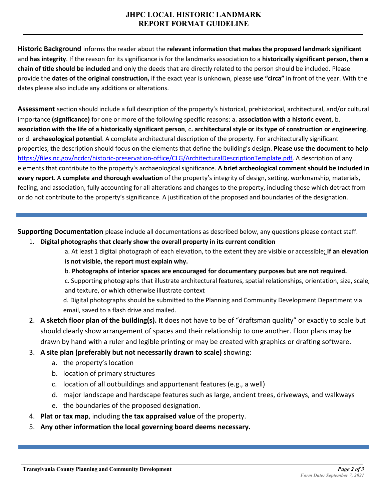## **JHPC LOCAL HISTORIC LANDMARK REPORT FORMAT GUIDELINE**

**Historic Background** informs the reader about the **relevant information that makes the proposed landmark significant** and **has integrity**. If the reason for its significance is for the landmarks association to a **historically significant person, then a chain of title should be included** and only the deeds that are directly related to the person should be included. Please provide the **dates of the original construction,** if the exact year is unknown, please **use "circa"** in front of the year. With the dates please also include any additions or alterations.

**Assessment** section should include a full description of the property's historical, prehistorical, architectural, and/or cultural importance **(significance)** for one or more of the following specific reasons: a. **association with a historic event**, b. **association with the life of a historically significant person**, c**. architectural style or its type of construction or engineering**, or d. **archaeological potential**. A complete architectural description of the property. For architecturally significant properties, the description should focus on the elements that define the building's design. **Please use the document to help**: [https://files.nc.gov/ncdcr/historic-preservation-office/CLG/ArchitecturalDescriptionTemplate.pdf.](https://files.nc.gov/ncdcr/historic-preservation-office/CLG/ArchitecturalDescriptionTemplate.pdf) A description of any elements that contribute to the property's archaeological significance. **A brief archeological comment should be included in every report**. A **complete and thorough evaluation** of the property's integrity of design, setting, workmanship, materials, feeling, and association, fully accounting for all alterations and changes to the property, including those which detract from or do not contribute to the property's significance. A justification of the proposed and boundaries of the designation.

**Supporting Documentation** please include all documentations as described below, any questions please contact staff.

- 1. **Digital photographs that clearly show the overall property in its current condition**
	- a. At least 1 digital photograph of each elevation, to the extent they are visible or accessible; **if an elevation is not visible, the report must explain why.**
	- b. **Photographs of interior spaces are encouraged for documentary purposes but are not required.**

c. Supporting photographs that illustrate architectural features, spatial relationships, orientation, size, scale, and texture, or which otherwise illustrate context

d. Digital photographs should be submitted to the Planning and Community Development Department via email, saved to a flash drive and mailed.

- 2. **A sketch floor plan of the building(s).** It does not have to be of "draftsman quality" or exactly to scale but should clearly show arrangement of spaces and their relationship to one another. Floor plans may be drawn by hand with a ruler and legible printing or may be created with graphics or drafting software.
- 3. **A site plan (preferably but not necessarily drawn to scale)** showing:
	- a. the property's location
	- b. location of primary structures
	- c. location of all outbuildings and appurtenant features (e.g., a well)
	- d. major landscape and hardscape features such as large, ancient trees, driveways, and walkways
	- e. the boundaries of the proposed designation.
- 4. **Plat or tax map**, including **the tax appraised value** of the property.
- 5. **Any other information the local governing board deems necessary.**